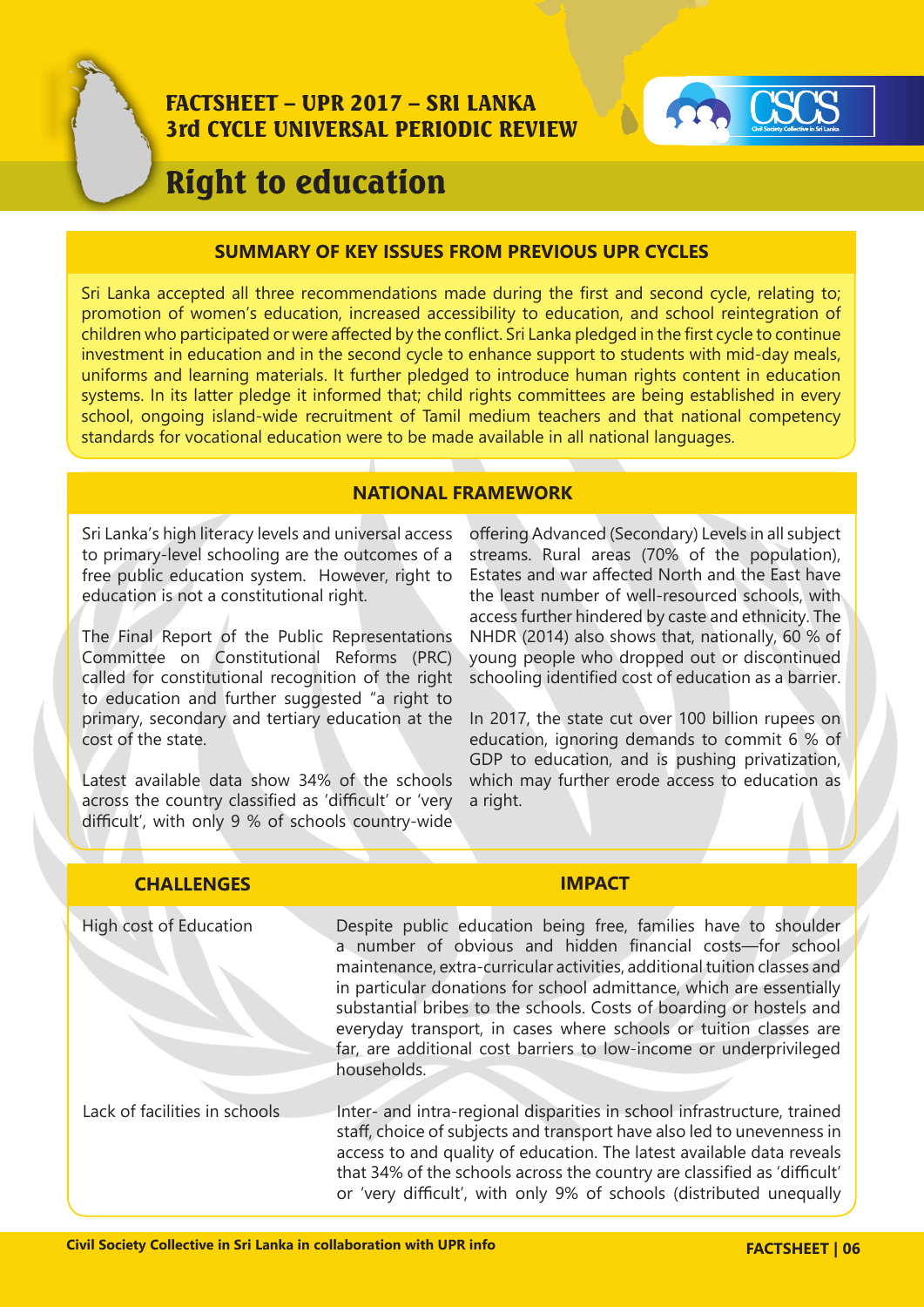

### FACTSHEET – UPR 2017 – SRI LANKA 3rd CYCLE UNIVERSAL PERIODIC REVIEW



# Right to education

#### **SUMMARY OF KEY ISSUES FROM PREVIOUS UPR CYCLES**

Sri Lanka accepted all three recommendations made during the first and second cycle, relating to; promotion of women's education, increased accessibility to education, and school reintegration of children who participated or were affected by the conflict. Sri Lanka pledged in the first cycle to continue investment in education and in the second cycle to enhance support to students with mid-day meals, uniforms and learning materials. It further pledged to introduce human rights content in education systems. In its latter pledge it informed that; child rights committees are being established in every school, ongoing island-wide recruitment of Tamil medium teachers and that national competency standards for vocational education were to be made available in all national languages.

#### **NATIONAL FRAMEWORK**

Sri Lanka's high literacy levels and universal access to primary-level schooling are the outcomes of a free public education system. However, right to education is not a constitutional right.

The Final Report of the Public Representations Committee on Constitutional Reforms (PRC) called for constitutional recognition of the right to education and further suggested "a right to primary, secondary and tertiary education at the cost of the state.

Latest available data show 34% of the schools across the country classified as 'difficult' or 'very difficult', with only 9 % of schools country-wide

offering Advanced (Secondary) Levels in all subject streams. Rural areas (70% of the population), Estates and war affected North and the East have the least number of well-resourced schools, with access further hindered by caste and ethnicity. The NHDR (2014) also shows that, nationally, 60 % of young people who dropped out or discontinued schooling identified cost of education as a barrier.

In 2017, the state cut over 100 billion rupees on education, ignoring demands to commit 6 % of GDP to education, and is pushing privatization, which may further erode access to education as a right.

| <b>CHALLENGES</b>             | <b>IMPACT</b>                                                                                                                                                                                                                                                                                                                                                                                                                                                                                                    |
|-------------------------------|------------------------------------------------------------------------------------------------------------------------------------------------------------------------------------------------------------------------------------------------------------------------------------------------------------------------------------------------------------------------------------------------------------------------------------------------------------------------------------------------------------------|
| High cost of Education        | Despite public education being free, families have to shoulder<br>a number of obvious and hidden financial costs-for school<br>maintenance, extra-curricular activities, additional tuition classes and<br>in particular donations for school admittance, which are essentially<br>substantial bribes to the schools. Costs of boarding or hostels and<br>everyday transport, in cases where schools or tuition classes are<br>far, are additional cost barriers to low-income or underprivileged<br>households. |
| Lack of facilities in schools | Inter- and intra-regional disparities in school infrastructure, trained<br>staff, choice of subjects and transport have also led to unevenness in<br>access to and quality of education. The latest available data reveals<br>that 34% of the schools across the country are classified as 'difficult'<br>or 'very difficult', with only 9% of schools (distributed unequally                                                                                                                                    |